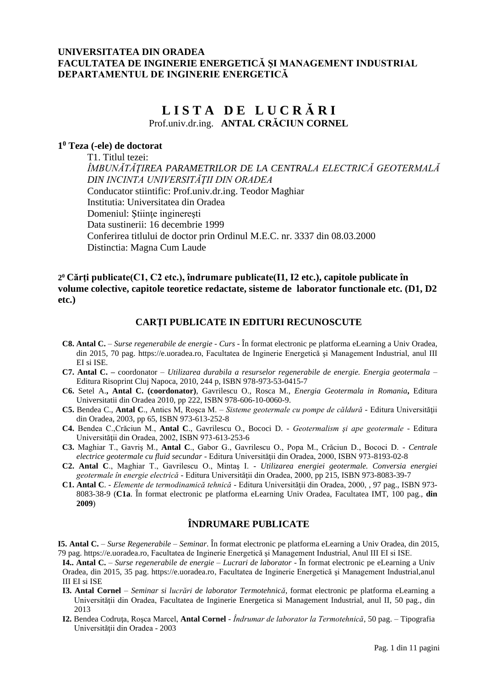# **UNIVERSITATEA DIN ORADEA FACULTATEA DE INGINERIE ENERGETICĂ ŞI MANAGEMENT INDUSTRIAL DEPARTAMENTUL DE INGINERIE ENERGETICĂ**

# **L I S T A D E L U C R Ă R I** Prof.univ.dr.ing. **ANTAL CRĂCIUN CORNEL**

# **1 <sup>0</sup> Teza (-ele) de doctorat**

T1. Titlul tezei: *ÎMBUNĂTĂŢIREA PARAMETRILOR DE LA CENTRALA ELECTRICĂ GEOTERMALĂ DIN INCINTA UNIVERSITĂŢII DIN ORADEA* Conducator stiintific: Prof.univ.dr.ing. Teodor Maghiar Institutia: Universitatea din Oradea Domeniul: Stiinte ingineresti Data sustinerii: 16 decembrie 1999 Conferirea titlului de doctor prin Ordinul M.E.C. nr. 3337 din 08.03.2000 Distinctia: Magna Cum Laude

# **Cărţi publicate(C1, C2 etc.), îndrumare publicate(I1, I2 etc.), capitole publicate în <sup>0</sup> 2 volume colective, capitole teoretice redactate, sisteme de laborator functionale etc. (D1, D2 etc.)**

## **CARŢI PUBLICATE IN EDITURI RECUNOSCUTE**

- **C8. Antal C.** *Surse regenerabile de energie - Curs* În format electronic pe platforma eLearning a Univ Oradea, din 2015, 70 pag. [https://e.uoradea.ro,](https://e.uoradea.ro/) Facultatea de Inginerie Energetică şi Management Industrial, anul III EI si ISE.
- **C7. Antal C. –** coordonator *Utilizarea durabila a resurselor regenerabile de energie. Energia geotermala* Editura Risoprint Cluj Napoca, 2010, 244 p, ISBN 978-973-53-0415-7
- **C6.** Setel A.**, Antal C. (coordonator)**, Gavrilescu O., Rosca M., *Energia Geotermala in Romania***,** Editura Universitatii din Oradea 2010, pp 222, ISBN 978-606-10-0060-9.
- **C5.** Bendea C., **Antal C**., Antics M, Roşca M. *Sisteme geotermale cu pompe de căldură* Editura Universităţii din Oradea, 2003, pp 65, ISBN 973-613-252-8
- **C4.** Bendea C.,Crăciun M., **Antal C**., Gavrilescu O., Bococi D. *Geotermalism şi ape geotermale* Editura Universităţii din Oradea, 2002, ISBN 973-613-253-6
- **C3.** Maghiar T., Gavriş M., **Antal C**., Gabor G., Gavrilescu O., Popa M., Crăciun D., Bococi D. *Centrale electrice geotermale cu fluid secundar* - Editura Universităţii din Oradea, 2000, ISBN 973-8193-02-8
- **C2. Antal C**., Maghiar T., Gavrilescu O., Mintaş I. *Utilizarea energiei geotermale. Conversia energiei geotermale în energie electrică* - Editura Universităţii din Oradea, 2000, pp 215, ISBN 973-8083-39-7
- **C1. Antal C**. *Elemente de termodinamică tehnică* Editura Universităţii din Oradea, 2000, , 97 pag., ISBN 973- 8083-38-9 (**C1a**. În format electronic pe platforma eLearning Univ Oradea, Facultatea IMT, 100 pag., **din 2009**)

# **ÎNDRUMARE PUBLICATE**

**I5. Antal C.** – *Surse Regenerabile – Seminar*. În format electronic pe platforma eLearning a Univ Oradea, din 2015, 79 pag. [https://e.uoradea.ro,](https://e.uoradea.ro/) Facultatea de Inginerie Energetică şi Management Industrial, Anul III EI si ISE.

**I4.. Antal C.** – *Surse regenerabile de energie – Lucrari de laborator* - În format electronic pe eLearning a Univ Oradea, din 2015, 35 pag. [https://e.uoradea.ro,](https://e.uoradea.ro/) Facultatea de Inginerie Energetică şi Management Industrial,anul III EI si ISE

- **I3. Antal Cornel** *Seminar si lucrări de laborator Termotehnică*, format electronic pe platforma eLearning a Universității din Oradea, Facultatea de Inginerie Energetica și Management Industrial, anul II, 50 pag., din 2013
- **I2.** Bendea Codruţa, Roşca Marcel, **Antal Cornel** *Îndrumar de laborator la Termotehnică,* 50 pag. Tipografia Universităţii din Oradea - 2003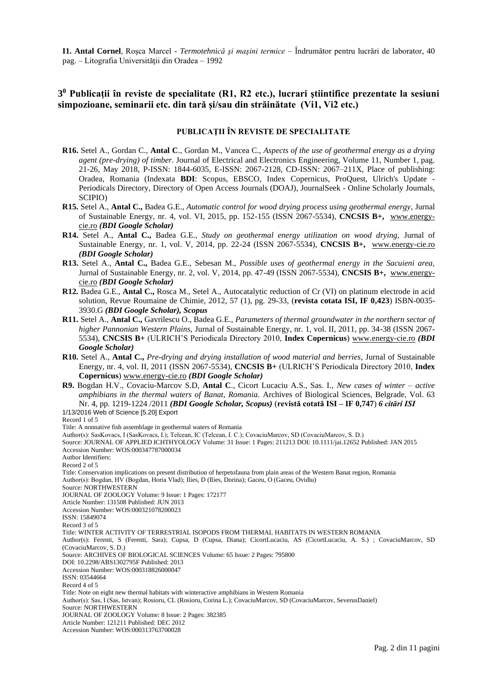**I1. Antal Cornel**, Roşca Marcel - *Termotehnică şi maşini termice* – Îndrumător pentru lucrări de laborator, 40 pag. – Litografia Universităţii din Oradea – 1992

# **3 <sup>0</sup> Publicaţii în reviste de specialitate (R1, R2 etc.), lucrari ştiintifice prezentate la sesiuni simpozioane, seminarii etc. din tară şi/sau din străinătate (Vi1, Vi2 etc.)**

### **PUBLICAŢII ÎN REVISTE DE SPECIALITATE**

- **R16.** Setel A., Gordan C., **Antal C**., Gordan M., Vancea C., *Aspects of the use of geothermal energy as a drying agent (pre-drying) of timber.* Journal of Electrical and Electronics Engineering, Volume 11, Number 1, pag. 21-26, May 2018, P-ISSN: 1844-6035, E-ISSN: 2067-2128, CD-ISSN: 2067–211X, Place of publishing: Oradea, Romania (Indexata **BDI**: Scopus, [EBSCO,](http://www.ebscohost.com/titleLists/asr-journals.htm) [Index Copernicus,](http://jml2012.indexcopernicus.com/Journal+of+Electrical+and+Electronics+Engineering,p2545,3.html) ProQuest, Ulrich's Update - Periodicals Directory, [Directory of Open Access Journals \(DOAJ\),](http://www.doaj.org/) JournalSeek - Online Scholarly Journals, SCIPIO)
- **R15.** Setel A., **Antal C.,** Badea G.E., *Automatic control for wood drying process using geothermal energy,* Jurnal of Sustainable Energy, nr. 4, vol. VI, 2015, pp. 152-155 (ISSN 2067-5534), **CNCSIS B+,** [www.energy](http://www.energy-cie.ro/)[cie.ro](http://www.energy-cie.ro/) *(BDI Google Scholar)*
- **R14.** Setel A., **Antal C.,** Badea G.E., *Study on geothermal energy utilization on wood drying,* Jurnal of Sustainable Energy, nr. 1, vol. V, 2014, pp. 22-24 (ISSN 2067-5534), **CNCSIS B+,** [www.energy-cie.ro](http://www.energy-cie.ro/) *(BDI Google Scholar)*
- **R13.** Setel A., **Antal C.,** Badea G.E., Sebesan M., *Possible uses of geothermal energy in the Sacuieni area,* Jurnal of Sustainable Energy, nr. 2, vol. V, 2014, pp. 47-49 (ISSN 2067-5534), **CNCSIS B+,** [www.energy](http://www.energy-cie.ro/)[cie.ro](http://www.energy-cie.ro/) *(BDI Google Scholar)*
- **R12.** Badea G.E., **Antal C.,** Rosca M., Setel A., Autocatalytic reduction of Cr (VI) on platinum electrode in acid solution, Revue Roumaine de Chimie, 2012, 57 (1), pg. 29-33, (**revista cotata ISI, IF 0,423**) ISBN-0035- 3930.G *(BDI Google Scholar), Scopus*
- **R11.** Setel A., **Antal C.,** Gavrilescu O., Badea G.E., *Parameters of thermal groundwater in the northern sector of higher Pannonian Western Plains,* Jurnal of Sustainable Energy, nr. 1, vol. II, 2011, pp. 34-38 (ISSN 2067- 5534), **CNCSIS B+** (ULRICH'S Periodicala Directory 2010, **Index Copernicus**) [www.energy-cie.ro](http://www.energy-cie.ro/) *(BDI Google Scholar)*
- **R10.** Setel A., **Antal C.,** *Pre-drying and drying installation of wood material and berries*, Jurnal of Sustainable Energy, nr. 4, vol. II, 2011 (ISSN 2067-5534), **CNCSIS B+** (ULRICH'S Periodicala Directory 2010, **Index Copernicus**) [www.energy-cie.ro](http://www.energy-cie.ro/) *(BDI Google Scholar)*
- **R9.** Bogdan H.V., Covaciu-Marcov S.D, **Antal C**., Cicort Lucaciu A.S., Sas. I., *New cases of winter – active amphibians in the thermal waters of Banat, Romania.* Archives of Biological Sciences, Belgrade, Vol. 63 Nr. 4, pp. 1219-1224 /2011 *(BDI Google Scholar, Scopus)* (**revistă cotată ISI – IF 0,747**) *6 citări ISI* 1/13/2016 Web of Science [5.20] Export

Record 1 of 5

Title: A nonnative fish assemblage in geothermal waters of Romania

Author(s): SasKovacs, I (SasKovacs, I.); Telcean, IC (Telcean, I. C.); CovaciuMarcov, SD (CovaciuMarcov, S. D.) Source: JOURNAL OF APPLIED ICHTHYOLOGY Volume: 31 Issue: 1 Pages: 211213 DOI: 10.1111/jai.12652 Published: JAN 2015

Accession Number: WOS:000347787000034 Author Identifiers:

Record 2 of 5

Title: Conservation implications on present distribution of herpetofauna from plain areas of the Western Banat region, Romania Author(s): Bogdan, HV (Bogdan, Horia Vlad); Ilies, D (Ilies, Dorina); Gaceu, O (Gaceu, Ovidiu)

Source: NORTHWESTERN

JOURNAL OF ZOOLOGY Volume: 9 Issue: 1 Pages: 172177

Article Number: 131508 Published: JUN 2013

Accession Number: WOS:000321078200023

ISSN: 15849074

Record 3 of 5

Title: WINTER ACTIVITY OF TERRESTRIAL ISOPODS FROM THERMAL HABITATS IN WESTERN ROMANIA

Author(s): Ferenti, S (Ferenti, Sara); Cupsa, D (Cupsa, Diana); CicortLucaciu, AS (CicortLucaciu, A. S.) ; CovaciuMarcov, SD (CovaciuMarcov, S. D.)

Source: ARCHIVES OF BIOLOGICAL SCIENCES Volume: 65 Issue: 2 Pages: 795800

DOI: 10.2298/ABS1302795F Published: 2013

Accession Number: WOS:000318826000047

ISSN: 03544664 Record 4 of 5

Title: Note on eight new thermal habitats with winteractive amphibians in Western Romania

Author(s): Sas, I (Sas, Istvan); Rosioru, CL (Rosioru, Corina L.); CovaciuMarcov, SD (CovaciuMarcov, SeverusDaniel)

Source: NORTHWESTERN

JOURNAL OF ZOOLOGY Volume: 8 Issue: 2 Pages: 382385

Article Number: 121211 Published: DEC 2012

Accession Number: WOS:000313763700028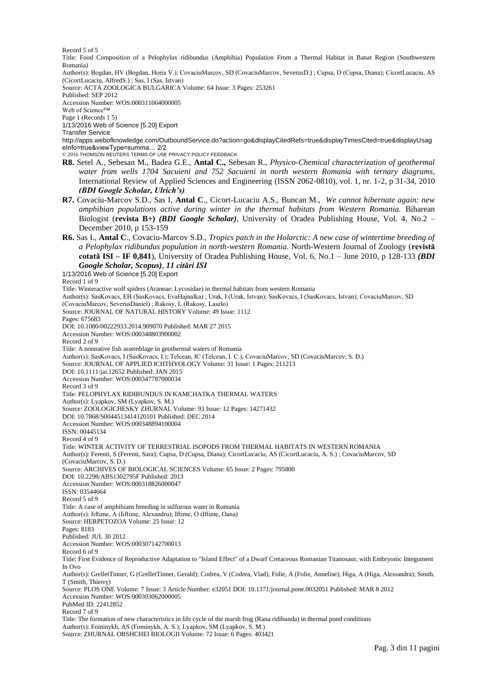Record 5 of 5

Title: Food Composition of a Pelophylax ridibundus (Amphibia) Population From a Thermal Habitat in Banat Region (Southwestern Romania)

Author(s): Bogdan, HV (Bogdan, Horia V.); CovaciuMarcov, SD (CovaciuMarcov, SeverusD.) ; Cupsa, D (Cupsa, Diana); CicortLucaciu, AS (CicortLucaciu, AlfredS.) ; Sas, I (Sas, Istvan)

Source: ACTA ZOOLOGICA BULGARICA Volume: 64 Issue: 3 Pages: 253261

Published: SEP 2012

Accession Number: WOS:000311064000005

Web of Science™

Page 1 (Records 1 5)

1/13/2016 Web of Science [5.20] Export

Transfer Service

http://apps.webofknowledge.com/OutboundService.do?action=go&displayCitedRefs=true&displayTimesCited=true&displayUsag eInfo=true&viewType=summa… 2/2

© 2016 THOMSON REUTERS TERMS OF USE PRIVACY POLICY FEEDBACK

- **R8.** Setel A., Sebesan M., Badea G.E., **Antal C.,** Sebesan R., *Physico-Chemical characterization of geothermal water from wells 1704 Sacuieni and 752 Sacuieni in north western Romania with ternary diagrams*, International Review of Applied Sciences and Engineering (ISSN 2062-0810), vol. 1, nr. 1-2, p 31-34, 2010 *(BDI Google Scholar, Ulrich's)*
- **R7.** Covaciu-Marcov S.D., Sas I, **Antal C**., Cicort-Lucaciu A.S., Buncan M., *We cannot hibernate again: new amphibian populations active during winter in the thermal habitats from Western Romania.* Biharean Biologist (**revista B+)** *(BDI Google Scholar)*, University of Oradea Publishing House, Vol. 4, No.2 – December 2010, p 153-159
- **R6.** Sas I., **Antal C**., Covaciu-Marcov S.D., *Tropics patch in the Holarctic: A new case of wintertime breeding of a Pelophylax ridibundus population in north-western Romania.* North-Western Journal of Zoology (**revistă cotată ISI – IF 0,841**), University of Oradea Publishing House, Vol. 6, No.1 – June 2010, p 128-133 *(BDI Google Scholar, Scopus)*, *11 citări ISI*

1/13/2016 Web of Science [5.20] Export Record 1 of 9 Title: Winteractive wolf spiders (Araneae: Lycosidae) in thermal habitats from western Romania Author(s): SasKovacs, EH (SasKovacs, EvaHajnalka) ; Urak, I (Urak, Istvan); SasKovacs, I (SasKovacs, Istvan); CovaciuMarcov, SD (CovaciuMarcov, SeverusDaniel) ; Rakosy, L (Rakosy, Laszlo) Source: JOURNAL OF NATURAL HISTORY Volume: 49 Issue: 1112 Pages: 675683 DOI: 10.1080/00222933.2014.909070 Published: MAR 27 2015 Accession Number: WOS:000348803900002 Record 2 of 9 Title: A nonnative fish assemblage in geothermal waters of Romania Author(s): SasKovacs, I (SasKovacs, I.); Telcean, IC (Telcean, I. C.); CovaciuMarcov, SD (CovaciuMarcov, S. D.) Source: JOURNAL OF APPLIED ICHTHYOLOGY Volume: 31 Issue: 1 Pages: 211213 DOI: 10.1111/jai.12652 Published: JAN 2015 Accession Number: WOS:000347787000034 Record 3 of 9 Title: PELOPHYLAX RIDIBUNDUS IN KAMCHATKA THERMAL WATERS Author(s): Lyapkov, SM (Lyapkov, S. M.) Source: ZOOLOGICHESKY ZHURNAL Volume: 93 Issue: 12 Pages: 14271432 DOI: 10.7868/S0044513414120101 Published: DEC 2014 Accession Number: WOS:000348894100004 ISSN: 00445134 Record 4 of 9 Title: WINTER ACTIVITY OF TERRESTRIAL ISOPODS FROM THERMAL HABITATS IN WESTERN ROMANIA Author(s): Ferenti, S (Ferenti, Sara); Cupsa, D (Cupsa, Diana); CicortLucaciu, AS (CicortLucaciu, A. S.) ; CovaciuMarcov, SD (CovaciuMarcov, S. D.) Source: ARCHIVES OF BIOLOGICAL SCIENCES Volume: 65 Issue: 2 Pages: 795800 DOI: 10.2298/ABS1302795F Published: 2013 Accession Number: WOS:000318826000047 ISSN: 03544664 Record 5 of 9 Title: A case of amphibians breeding in sulfurous water in Romania Author(s): Iiftime, A (Iiftime, Alexandru); Iftime, O (Iftime, Oana) Source: HERPETOZOA Volume: 25 Issue: 12 Pages: 8183 Published: JUL 30 2012 Accession Number: WOS:000307142700013 Record 6 of 9 Title: First Evidence of Reproductive Adaptation to "Island Effect" of a Dwarf Cretaceous Romanian Titanosaur, with Embryonic Integument In Ovo Author(s): GrelletTinner, G (GrelletTinner, Gerald); Codrea, V (Codrea, Vlad); Folie, A (Folie, Annelise); Higa, A (Higa, Alessandra); Smith, T (Smith, Thierry) Source: PLOS ONE Volume: 7 Issue: 3 Article Number: e32051 DOI: 10.1371/journal.pone.0032051 Published: MAR 8 2012 Accession Number: WOS:000303062000005 PubMed ID: 22412852 Record 7 of 9 Title: The formation of new characteristics in life cycle of the marsh frog (Rana ridibunda) in thermal pond conditions Author(s): Fominykh, AS (Fominykh, A. S.); Lyapkov, SM (Lyapkov, S. M.) Source: ZHURNAL OBSHCHEI BIOLOGII Volume: 72 Issue: 6 Pages: 403421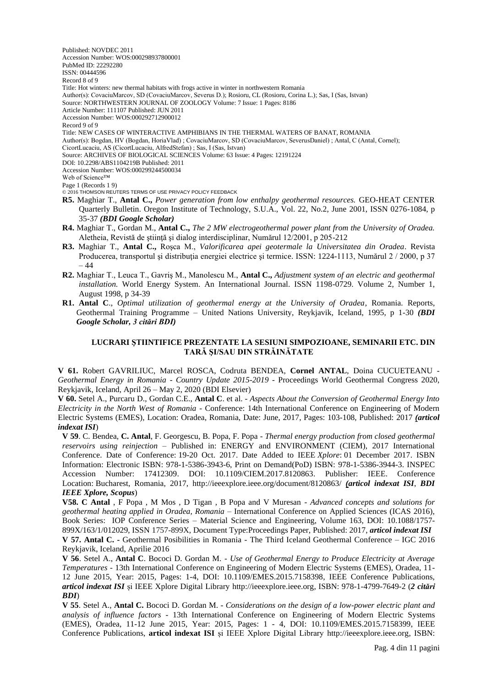Published: NOVDEC 2011 Accession Number: WOS:000298937800001

PubMed ID: 22292280

ISSN: 00444596

Record 8 of 9

Title: Hot winters: new thermal habitats with frogs active in winter in northwestern Romania

Author(s): CovaciuMarcov, SD (CovaciuMarcov, Severus D.); Rosioru, CL (Rosioru, Corina L.); Sas, I (Sas, Istvan)

Source: NORTHWESTERN JOURNAL OF ZOOLOGY Volume: 7 Issue: 1 Pages: 8186

Article Number: 111107 Published: JUN 2011

Accession Number: WOS:000292712900012 Record 9 of 9

Title: NEW CASES OF WINTERACTIVE AMPHIBIANS IN THE THERMAL WATERS OF BANAT, ROMANIA

Author(s): Bogdan, HV (Bogdan, HoriaVlad) ; CovaciuMarcov, SD (CovaciuMarcov, SeverusDaniel) ; Antal, C (Antal, Cornel);

CicortLucaciu, AS (CicortLucaciu, AlfredStefan) ; Sas, I (Sas, Istvan)

Source: ARCHIVES OF BIOLOGICAL SCIENCES Volume: 63 Issue: 4 Pages: 12191224

DOI: 10.2298/ABS1104219B Published: 2011

Accession Number: WOS:000299244500034

Web of Science™ Page 1 (Records 1 9)

© 2016 THOMSON REUTERS TERMS OF USE PRIVACY POLICY FEEDBACK

- **R5.** Maghiar T., **Antal C.,** *Power generation from low enthalpy geothermal resources.* GEO-HEAT CENTER Quarterly Bulletin. Oregon Institute of Technology, S.U.A., Vol. 22, No.2, June 2001, ISSN 0276-1084, p 35-37 *(BDI Google Scholar)*
- **R4.** Maghiar T., Gordan M., **Antal C.,** *The 2 MW electrogeothermal power plant from the University of Oradea.* Aletheia, Revistă de ştiinţă şi dialog interdisciplinar, Numărul 12/2001, p 205-212
- **R3.** Maghiar T., **Antal C.,** Roşca M., *Valorificarea apei geotermale la Universitatea din Oradea*. Revista Producerea, transportul și distribuția energiei electrice și termice. ISSN: 1224-1113, Numărul 2 / 2000, p 37 – 44
- **R2.** Maghiar T., Leuca T., Gavriş M., Manolescu M., **Antal C.,** *Adjustment system of an electric and geothermal installation.* World Energy System. An International Journal. ISSN 1198-0729. Volume 2, Number 1, August 1998, p 34-39
- **R1. Antal C**., *Optimal utilization of geothermal energy at the University of Oradea*, Romania. Reports, Geothermal Training Programme – United Nations University, Reykjavik, Iceland, 1995, p 1-30 *(BDI Google Scholar, 3 citări BDI)*

## **LUCRARI ŞTIINTIFICE PREZENTATE LA SESIUNI SIMPOZIOANE, SEMINARII ETC. DIN TARĂ ŞI/SAU DIN STRĂINĂTATE**

**V 61.** Robert GAVRILIUC, Marcel ROSCA, Codruta BENDEA, **Cornel ANTAL**, Doina CUCUETEANU - *Geothermal Energy in Romania - Country Update 2015-2019* - Proceedings World Geothermal Congress 2020, Reykjavik, Iceland, April 26 – May 2, 2020 (BDI Elsevier)

**V 60.** [Setel](http://apps.webofknowledge.com.am.e-nformation.ro/DaisyOneClickSearch.do?product=WOS&search_mode=DaisyOneClickSearch&colName=WOS&SID=E2icyD8XWwzsRbMaRSU&author_name=Setel,%20Aurel&dais_id=8252060&excludeEventConfig=ExcludeIfFromFullRecPage) A., Purcaru [D., Gordan C.E.,](http://apps.webofknowledge.com.am.e-nformation.ro/DaisyOneClickSearch.do?product=WOS&search_mode=DaisyOneClickSearch&colName=WOS&SID=E2icyD8XWwzsRbMaRSU&author_name=Purcaru,%20Dorina&dais_id=2958454&excludeEventConfig=ExcludeIfFromFullRecPage) **Antal C**. et al. - *[Aspects About the Conversion of Geothermal Energy Into](http://apps.webofknowledge.com.am.e-nformation.ro/full_record.do?product=WOS&search_mode=MarkedList&qid=8&SID=E2icyD8XWwzsRbMaRSU&page=1&doc=2&colName=WOS)  [Electricity in the North West of Romania](http://apps.webofknowledge.com.am.e-nformation.ro/full_record.do?product=WOS&search_mode=MarkedList&qid=8&SID=E2icyD8XWwzsRbMaRSU&page=1&doc=2&colName=WOS)* - Conference: 14th International Conference on Engineering of Modern Electric Systems (EMES), Location: Oradea, Romania, Date: June, 2017, Pages: 103-108, Published: 2017 *(articol indexat ISI*)

**V 59**. C. Bendea, **C. Antal**, F. Georgescu, B. Popa, F. Popa - *Thermal energy production from closed geothermal reservoirs using reinjection* – Published in: [ENERGY and ENVIRONMENT \(CIEM\), 2017 International](http://ieeexplore.ieee.org/xpl/mostRecentIssue.jsp?punumber=8115598)  [Conference. D](http://ieeexplore.ieee.org/xpl/mostRecentIssue.jsp?punumber=8115598)ate of Conference: 19-20 Oct. 2017. Date Added to IEEE *Xplore*: 01 December 2017. ISBN Information: Electronic ISBN: 978-1-5386-3943-6, Print on Demand(PoD) ISBN: 978-1-5386-3944-3. INSPEC Accession Number: 17412309. DOI: [10.1109/CIEM.2017.8120863.](https://doi.org/10.1109/CIEM.2017.8120863) Publisher: IEEE. Conference Location: Bucharest, Romania, 2017, <http://ieeexplore.ieee.org/document/8120863/> *(articol indexat ISI*, *BDI IEEE Xplore, Scopus*)

**V58. C Antal** , F Popa , M Mos , D Tigan , B Popa and V Muresan - *Advanced concepts and solutions for geothermal heating applied in Oradea, Romania* – International Conference on Applied Sciences (ICAS 2016), Book Series: IOP Conference Series – Material Science and Engineering, Volume 163, DOI: 10.1088/1757- 899X/163/1/012029, ISSN 1757-899X, Document Type:Proceedings Paper, Published: 2017, *articol indexat ISI* **V 57. Antal C. -** Geothermal Posibilities in Romania - The Third Iceland Geothermal Conference – IGC 2016 Reykjavik, Iceland, Aprilie 2016

**V 56**. Setel A., **Antal C**. Bococi D. Gordan M. - *Use of Geothermal Energy to Produce Electricity at Average Temperatures* - 13th International Conference on Engineering of Modern Electric Systems (EMES), Oradea, 11- 12 June 2015, Year: 2015, Pages: 1-4, DOI: [10.1109/EMES.2015.7158398,](http://dx.doi.org/10.1109/EMES.2015.7158398) IEEE Conference Publications, *articol indexat ISI* și IEEE Xplore Digital Library [http://ieeexplore.ieee.org,](http://ieeexplore.ieee.org/) ISBN: 978-1-4799-7649-2 (*2 citări BDI*)

**V 55**. Setel A., **Antal C.** Bococi D. Gordan M. - *[Considerations on the design of a low-power electric plant and](http://ieeexplore.ieee.org/xpl/articleDetails.jsp?arnumber=7158399&searchWithin=%22First%20Name%22:C&searchWithin=%22Last%20Name%22:Antal&newsearch=true)  [analysis of influence factors](http://ieeexplore.ieee.org/xpl/articleDetails.jsp?arnumber=7158399&searchWithin=%22First%20Name%22:C&searchWithin=%22Last%20Name%22:Antal&newsearch=true)* - 13th International Conference on Engineering of Modern Electric Systems (EMES), Oradea, 11-12 June 2015, Year: 2015, Pages: 1 - 4, DOI: [10.1109/EMES.2015.7158399,](http://dx.doi.org/10.1109/EMES.2015.7158399) IEEE Conference Publications, **articol indexat ISI** și IEEE Xplore Digital Library [http://ieeexplore.ieee.org,](http://ieeexplore.ieee.org/) ISBN: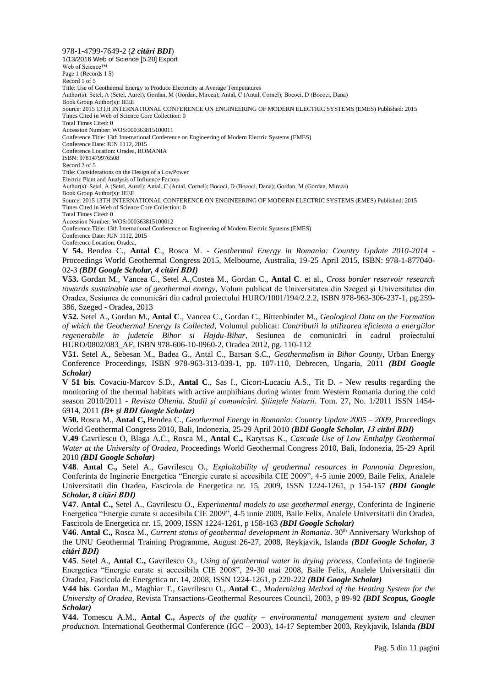978-1-4799-7649-2 (*2 citări BDI*) 1/13/2016 Web of Science [5.20] Export Web of Science™ Page 1 (Records 1 5) Record 1 of 5 Title: Use of Geothermal Energy to Produce Electricity at Average Temperatures Author(s): Setel, A (Setel, Aurel); Gordan, M (Gordan, Mircea); Antal, C (Antal, Cornel); Bococi, D (Bococi, Dana) Book Group Author(s): IEEE Source: 2015 13TH INTERNATIONAL CONFERENCE ON ENGINEERING OF MODERN ELECTRIC SYSTEMS (EMES) Published: 2015 Times Cited in Web of Science Core Collection: 0 Total Times Cited: 0 Accession Number: WOS:000363815100011 Conference Title: 13th International Conference on Engineering of Modern Electric Systems (EMES) Conference Date: JUN 1112, 2015 Conference Location: Oradea, ROMANIA ISBN: 9781479976508 Record 2 of 5 Title: Considerations on the Design of a LowPower Electric Plant and Analysis of Influence Factors Author(s): Setel, A (Setel, Aurel); Antal, C (Antal, Cornel); Bococi, D (Bococi, Dana); Gordan, M (Gordan, Mircea) Book Group Author(s): IEEE Source: 2015 13TH INTERNATIONAL CONFERENCE ON ENGINEERING OF MODERN ELECTRIC SYSTEMS (EMES) Published: 2015 Times Cited in Web of Science Core Collection: 0 Total Times Cited: 0 Accession Number: WOS:000363815100012 Conference Title: 13th International Conference on Engineering of Modern Electric Systems (EMES) Conference Date: JUN 1112, 2015 Conference Location: Oradea, **V 54.** Bendea C., **Antal C**., Rosca M. - *Geothermal Energy in Romania: Country Update 2010-2014* - Proceedings World Geothermal Congress 2015, Melbourne, Australia, 19-25 April 2015, ISBN: 978-1-877040- 02-3 *(BDI Google Scholar, 4 citări BDI)* **V53.** Gordan M., Vancea C., Setel A.,Costea M., Gordan C., **Antal C**. et al., *Cross border reservoir research towards sustainable use of geothermal energy,* Volum publicat de Universitatea din Szeged şi Universitatea din Oradea, Sesiunea de comunicări din cadrul proiectului HURO/1001/194/2.2.2, ISBN 978-963-306-237-1, pg.259- 386, Szeged - Oradea, 2013 **V52.** Setel A., Gordan M., **Antal C**., Vancea C., Gordan C., Bittenbinder M., *Geological Data on the Formation of which the Geothermal Energy Is Collected*, Volumul publicat: *Contributii la utilizarea eficienta a energiilor regenerabile in judetele Bihor si Hajdu-Bihar*, Sesiunea de comunicări in cadrul proiectului HURO/0802/083\_AF, ISBN 978-606-10-0960-2, Oradea 2012, pg. 110-112

**V51.** Setel A., Sebesan M., Badea G., Antal C., Barsan S.C., *Geothermalism in Bihor County*, Urban Energy Conference Proceedings, ISBN 978-963-313-039-1, pp. 107-110, Debrecen, Ungaria, 2011 *(BDI Google Scholar)*

**V 51 bis**. Covaciu-Marcov S.D., **Antal C**., Sas I., Cicort-Lucaciu A.S., Tit D. - New results regarding the monitoring of the thermal habitats with active amphibians during winter from Western Romania during the cold season 2010/2011 - *Revista Oltenia. Studii şi comunicări. Ştiinţele Naturii*. Tom. 27, No. 1/2011 ISSN 1454- 6914, 2011 *(B+ şi BDI Google Scholar)*

**V50.** Rosca M., **Antal C,** Bendea C., *Geothermal Energy in Romania: Country Update 2005 – 2009*, Proceedings World Geothermal Congress 2010, Bali, Indonezia, 25-29 April 2010 *(BDI Google Scholar, 13 citări BDI)*

**V.49** Gavrilescu O, Blaga A.C., Rosca M., **Antal C.,** Karytsas K., *Cascade Use of Low Enthalpy Geothermal Water at the University of Oradea,* Proceedings World Geothermal Congress 2010, Bali, Indonezia, 25-29 April 2010 *(BDI Google Scholar)*

**V48**. **Antal C.,** Setel A., Gavrilescu O., *Exploitability of geothermal resources in Pannonia Depresion*, Conferinta de Inginerie Energetica "Energie curate si accesibila CIE 2009", 4-5 iunie 2009, Baile Felix, Analele Universitatii din Oradea, Fascicola de Energetica nr. 15, 2009, ISSN 1224-1261, p 154-157 *(BDI Google Scholar, 8 citări BDI)*

**V47**. **Antal C.,** Setel A., Gavrilescu O., *Experimental models to use geothermal energy*, Conferinta de Inginerie Energetica "Energie curate si accesibila CIE 2009", 4-5 iunie 2009, Baile Felix, Analele Universitatii din Oradea, Fascicola de Energetica nr. 15, 2009, ISSN 1224-1261, p 158-163 *(BDI Google Scholar)*

V46. Antal C., Rosca M., *Current status of geothermal development in Romania*. 30<sup>th</sup> Anniversary Workshop of the UNU Geothermal Training Programme, August 26-27, 2008, Reykjavik, Islanda *(BDI Google Scholar, 3 citări BDI)*

**V45**. Setel A., **Antal C.,** Gavrilescu O., *Using of geothermal water in drying process*, Conferinta de Inginerie Energetica "Energie curate si accesibila CIE 2008", 29-30 mai 2008, Baile Felix, Analele Universitatii din Oradea, Fascicola de Energetica nr. 14, 2008, ISSN 1224-1261, p 220-222 *(BDI Google Scholar)*

**V44 bis**. Gordan M., Maghiar T., Gavrilescu O., **Antal C**., *Modernizing Method of the Heating System for the University of Oradea*, Revista Transactions-Geothermal Resources Council, 2003, p 89-92 *(BDI Scopus, Google Scholar)*

**V44.** Tomescu A.M., **Antal C.,** *Aspects of the quality – environmental management system and cleaner production.* International Geothermal Conference (IGC – 2003), 14-17 September 2003, Reykjavik, Islanda *(BDI*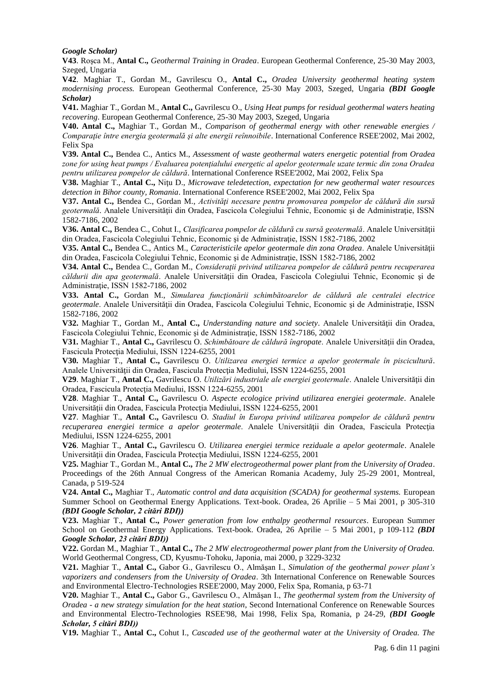#### *Google Scholar)*

**V43**. Roşca M., **Antal C.,** *Geothermal Training in Oradea*. European Geothermal Conference, 25-30 May 2003, Szeged, Ungaria

**V42**. Maghiar T., Gordan M., Gavrilescu O., **Antal C.,** *Oradea University geothermal heating system modernising process.* European Geothermal Conference, 25-30 May 2003, Szeged, Ungaria *(BDI Google Scholar)*

**V41.** Maghiar T., Gordan M., **Antal C.,** Gavrilescu O., *Using Heat pumps for residual geothermal waters heating recovering*. European Geothermal Conference, 25-30 May 2003, Szeged, Ungaria

**V40. Antal C.,** Maghiar T., Gordan M., *Comparison of geothermal energy with other renewable energies / Comparaţie între energia geotermală şi alte energii reînnoibile*. International Conference RSEE'2002, Mai 2002, Felix Spa

**V39. Antal C.,** Bendea C., Antics M., *Assessment of waste geothermal waters energetic potential from Oradea zone for using heat pumps / Evaluarea potenţialului energetic al apelor geotermale uzate termic din zona Oradea pentru utilizarea pompelor de căldură*. International Conference RSEE'2002, Mai 2002, Felix Spa

**V38.** Maghiar T., **Antal C.,** Niţu D., *Microwave teledetection, expectation for new geothermal water resources detection in Bihor county, Romania*. International Conference RSEE'2002, Mai 2002, Felix Spa

**V37. Antal C.,** Bendea C., Gordan M., *Activităţi necesare pentru promovarea pompelor de căldură din sursă geotermală*. Analele Universităţii din Oradea, Fascicola Colegiului Tehnic, Economic şi de Administraţie, ISSN 1582-7186, 2002

**V36. Antal C.,** Bendea C., Cohut I., *Clasificarea pompelor de căldură cu sursă geotermală*. Analele Universităţii din Oradea, Fascicola Colegiului Tehnic, Economic și de Administrație, ISSN 1582-7186, 2002

**V35. Antal C.,** Bendea C., Antics M., *Caracteristicile apelor geotermale din zona Oradea*. Analele Universităţii din Oradea, Fascicola Colegiului Tehnic, Economic și de Administrație, ISSN 1582-7186, 2002

**V34. Antal C.,** Bendea C., Gordan M., *Consideraţii privind utilizarea pompelor de căldură pentru recuperarea căldurii din apa geotermală*. Analele Universităţii din Oradea, Fascicola Colegiului Tehnic, Economic şi de Administraţie, ISSN 1582-7186, 2002

**V33. Antal C.,** Gordan M., *Simularea functionării schimbătoarelor de căldură ale centralei electrice geotermale*. Analele Universităţii din Oradea, Fascicola Colegiului Tehnic, Economic şi de Administraţie, ISSN 1582-7186, 2002

**V32.** Maghiar T., Gordan M., **Antal C.,** *Understanding nature and society*. Analele Universităţii din Oradea, Fascicola Colegiului Tehnic, Economic şi de Administraţie, ISSN 1582-7186, 2002

**V31.** Maghiar T., **Antal C.,** Gavrilescu O. *Schimbătoare de căldură îngropate*. Analele Universităţii din Oradea, Fascicula Protecţia Mediului, ISSN 1224-6255, 2001

**V30.** Maghiar T., **Antal C.,** Gavrilescu O. *Utilizarea energiei termice a apelor geotermale în piscicultură*. Analele Universităţii din Oradea, Fascicula Protecţia Mediului, ISSN 1224-6255, 2001

**V29**. Maghiar T., **Antal C.,** Gavrilescu O. *Utilizări industriale ale energiei geotermale*. Analele Universităţii din Oradea, Fascicula Protecția Mediului, ISSN 1224-6255, 2001

**V28**. Maghiar T., **Antal C.,** Gavrilescu O. *Aspecte ecologice privind utilizarea energiei geotermale*. Analele Universităţii din Oradea, Fascicula Protecţia Mediului, ISSN 1224-6255, 2001

**V27**. Maghiar T., **Antal C.,** Gavrilescu O. *Stadiul în Europa privind utilizarea pompelor de căldură pentru recuperarea energiei termice a apelor geotermale*. Analele Universităţii din Oradea, Fascicula Protecţia Mediului, ISSN 1224-6255, 2001

**V26**. Maghiar T., **Antal C.,** Gavrilescu O. *Utilizarea energiei termice reziduale a apelor geotermale*. Analele Universităţii din Oradea, Fascicula Protecţia Mediului, ISSN 1224-6255, 2001

**V25.** Maghiar T., Gordan M., **Antal C.,** *The 2 MW electrogeothermal power plant from the University of Oradea*. Proceedings of the 26th Annual Congress of the American Romania Academy, July 25-29 2001, Montreal, Canada, p 519-524

**V24. Antal C.,** Maghiar T., *Automatic control and data acquisition (SCADA) for geothermal systems.* European Summer School on Geothermal Energy Applications. Text-book. Oradea, 26 Aprilie – 5 Mai 2001, p 305-310 *(BDI Google Scholar, 2 citări BDI))*

**V23.** Maghiar T., **Antal C.,** *Power generation from low enthalpy geothermal resources*. European Summer School on Geothermal Energy Applications. Text-book. Oradea, 26 Aprilie – 5 Mai 2001, p 109-112 *(BDI Google Scholar, 23 citări BDI))*

**V22.** Gordan M., Maghiar T., **Antal C.,** *The 2 MW electrogeothermal power plant from the University of Oradea.*  World Geothermal Congress, CD, Kyusmu-Tohoku, Japonia, mai 2000, p 3229-3232

**V21.** Maghiar T., **Antal C.,** Gabor G., Gavrilescu O., Almăşan I., *Simulation of the geothermal power plant's vaporizers and condensers from the University of Oradea*. 3th International Conference on Renewable Sources and Environmental Electro-Technologies RSEE'2000, May 2000, Felix Spa, Romania, p 63-71

**V20.** Maghiar T., **Antal C.,** Gabor G., Gavrilescu O., Almăşan I., *The geothermal system from the University of Oradea - a new strategy simulation for the heat station*, Second International Conference on Renewable Sources and Environmental Electro-Technologies RSEE'98, Mai 1998, Felix Spa, Romania, p 24-29, *(BDI Google Scholar, 5 citări BDI))*

**V19.** Maghiar T., **Antal C.,** Cohut I., *Cascaded use of the geothermal water at the University of Oradea. The*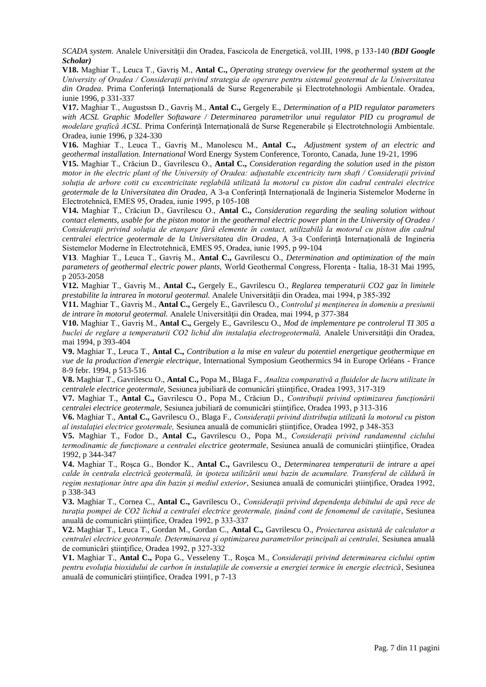*SCADA system*. Analele Universităţii din Oradea, Fascicola de Energetică, vol.III, 1998, p 133-140 *(BDI Google Scholar)*

**V18.** Maghiar T., Leuca T., Gavriş M., **Antal C.,** *Operating strategy overview for the geothermal system at the University of Oradea / Consideraţii privind strategia de operare pentru sistemul geotermal de la Universitatea din Oradea*. Prima Conferinţă Internaţională de Surse Regenerabile şi Electrotehnologii Ambientale. Oradea, iunie 1996, p 331-337

**V17.** Maghiar T., Augustssn D., Gavriş M., **Antal C.,** Gergely E., *Determination of a PID regulator parameters with ACSL Graphic Modeller Softaware / Determinarea parametrilor unui regulator PID cu programul de modelare grafică ACSL.* Prima Conferinţă Internaţională de Surse Regenerabile şi Electrotehnologii Ambientale. Oradea, iunie 1996, p 324-330

**V16.** Maghiar T., Leuca T., Gavriş M., Manolescu M., **Antal C.,** *Adjustment system of an electric and geothermal installation. International* Word Energy System Conference, Toronto, Canada, June 19-21, 1996

**V15.** Maghiar T., Crăciun D., Gavrilescu O., **Antal C.,** *Consideration regarding the solution used in the piston motor in the electric plant of the University of Oradea: adjustable excentricity turn shaft / Consideraţii privind soluţia de arbore cotit cu excentricitate reglabilă utilizată la motorul cu piston din cadrul centralei electrice geotermale de la Universitatea din Oradea,* A 3-a Conferinţă Internaţională de Ingineria Sistemelor Moderne în Electrotehnică, EMES 95, Oradea, iunie 1995, p 105-108

**V14.** Maghiar T., Crăciun D., Gavrilescu O., **Antal C.,** *Consideration regarding the sealing solution without contact elements, usable for the piston motor in the geothermal electric power plant in the University of Oradea / Consideraţii privind soluţia de etanşare fără elemente în contact, utilizabilă la motorul cu piston din cadrul centralei electrice geotermale de la Universitatea din Oradea,* A 3-a Conferinţă Internaţională de Ingineria Sistemelor Moderne în Electrotehnică, EMES 95, Oradea, iunie 1995, p 99-104

**V13**. Maghiar T., Leuca T., Gavriş M., **Antal C.,** Gavrilescu O., *Determination and optimization of the main parameters of geothermal electric power plants,* World Geothermal Congress, Florenţa - Italia, 18-31 Mai 1995, p 2053-2058

**V12.** Maghiar T., Gavriş M., **Antal C.,** Gergely E., Gavrilescu O., *Reglarea temperaturii CO2 gaz în limitele prestabilite la intrarea în motorul geotermal.* Analele Universităţii din Oradea, mai 1994, p 385-392

**V11.** Maghiar T., Gavriş M., **Antal C.,** Gergely E., Gavrilescu O., *Controlul şi menţinerea în domeniu a presiunii de intrare în motorul geotermal.* Analele Universităţii din Oradea, mai 1994, p 377-384

**V10.** Maghiar T., Gavriş M., **Antal C.,** Gergely E., Gavrilescu O., *Mod de implementare pe controlerul TI 305 a buclei de reglare a temperaturii CO2 lichid din instalaţia electrogeotermală,* Analele Universităţii din Oradea, mai 1994, p 393-404

**V9.** Maghiar T., Leuca T., **Antal C.,** *Contribution a la mise en valeur du potentiel energetique geothermique en vue de la production d'energie electrique*, International Symposium Geothermics 94 in Europe Orléans - France 8-9 febr. 1994, p 513-516

**V8.** Maghiar T., Gavrilescu O., **Antal C.,** Popa M., Blaga F., *Analiza comparativă a fluidelor de lucru utilizate în centralele electrice geotermale,* Sesiunea jubiliară de comunicări ştiinţifice, Oradea 1993, 317-319

**V7.** Maghiar T., **Antal C.,** Gavrilescu O., Popa M., Crăciun D., *Contribuţii privind optimizarea funcţionării centralei electrice geotermale,* Sesiunea jubiliară de comunicări ştiinţifice, Oradea 1993, p 313-316

**V6.** Maghiar T., **Antal C.,** Gavrilescu O., Blaga F., *Consideraţii privind distribuţia utilizată la motorul cu piston al instalaţiei electrice geotermale,* Sesiunea anuală de comunicări ştiinţifice, Oradea 1992, p 348-353

**V5.** Maghiar T., Fodor D., **Antal C.,** Gavrilescu O., Popa M., *Consideraţii privind randamentul ciclului termodinamic de funcţionare a centralei electrice geotermale*, Sesiunea anuală de comunicări ştiinţifice, Oradea 1992, p 344-347

**V4.** Maghiar T., Roşca G., Bondor K., **Antal C.,** Gavrilescu O., *Determinarea temperaturii de intrare a apei calde în centrala electrică geotermală, în ipoteza utilizării unui bazin de acumulare. Transferul de căldură în regim nestaţionar între apa din bazin şi mediul exterior*, Sesiunea anuală de comunicări ştiinţifice, Oradea 1992, p 338-343

**V3.** Maghiar T., Cornea C., **Antal C.,** Gavrilescu O., *Consideraţii privind dependenţa debitului de apă rece de turaţia pompei de CO2 lichid a centralei electrice geotermale, ţinând cont de fenomenul de cavitaţie*, Sesiunea anuală de comunicări ştiinţifice, Oradea 1992, p 333-337

**V2.** Maghiar T., Leuca T., Gordan M., Gordan C., **Antal C.,** Gavrilescu O., *Proiectarea asistată de calculator a centralei electrice geotermale. Determinarea şi optimizarea parametrilor principali ai centralei,* Sesiunea anuală de comunicări ştiinţifice, Oradea 1992, p 327-332

**V1.** Maghiar T., **Antal C.,** Popa G., Vesseleny T., Roşca M., *Consideraţii privind determinarea ciclului optim pentru evoluţia bioxidului de carbon în instalaţiile de conversie a energiei termice în energie electrică*, Sesiunea anuală de comunicări ştiinţifice, Oradea 1991, p 7-13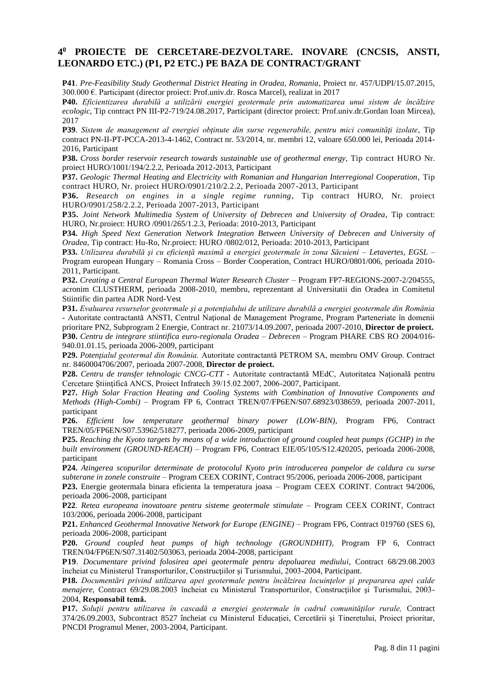# **4 <sup>0</sup> PROIECTE DE CERCETARE-DEZVOLTARE. INOVARE (CNCSIS, ANSTI, LEONARDO ETC.) (P1, P2 ETC.) PE BAZA DE CONTRACT/GRANT**

**P41**. *Pre-Feasibility Study Geothermal District Heating in Oradea, Romania*, Proiect nr. 457/UDPI/15.07.2015, 300.000 €. Participant (director proiect: Prof.univ.dr. Rosca Marcel), realizat in 2017

**P40.** *Eficientizarea durabilă a utilizării energiei geotermale prin automatizarea unui sistem de încălzire ecologic,* Tip contract PN III-P2-719/24.08.2017, Participant (director proiect: Prof.univ.dr.Gordan Ioan Mircea), 2017

**P39**. *Sistem de management al energiei obţinute din surse regenerabile, pentru mici comunităţi izolate*, Tip contract PN-II-PT-PCCA-2013-4-1462, Contract nr. 53/2014, nr. membri 12, valoare 650.000 lei, Perioada 2014- 2016, Participant

**P38.** *Cross border reservoir research towards sustainable use of geothermal energy,* Tip contract HURO Nr. proiect HURO/1001/194/2.2.2, Perioada 2012-2013, Participant

**P37.** *Geologic Thermal Heating and Electricity with Romanian and Hungarian Interregional Cooperation*, Tip contract HURO, Nr. proiect HURO/0901/210/2.2.2, Perioada 2007-2013, Participant

**P36.** *Research on engines in a single regime running*, Tip contract HURO, Nr. proiect HURO/0901/258/2.2.2, Perioada 2007-2013, Participant

**P35.** *Joint Network Multimedia System of University of Debrecen and University of Oradea*, Tip contract: HURO, Nr.proiect: HURO /0901/265/1.2.3, Perioada: 2010-2013, Participant

**P34.** *High Speed Next Generation Network Integration Between University of Debrecen and University of Oradea,* Tip contract: Hu-Ro, Nr.proiect: HURO /0802/012, Perioada: 2010-2013, Participant

**P33.** *Utilizarea durabilă şi cu eficienţă maximă a energiei geotermale în zona Săcuieni – Letavertes, EGSL* – Program european Hungary – Romania Cross – Border Cooperation, Contract HURO/0801/006, perioada 2010- 2011, Participant.

**P32.** *Creating a Central European Thermal Water Research Cluster –* Program FP7-REGIONS-2007-2/204555, acronim CLUSTHERM, perioada 2008-2010, membru, reprezentant al Universitatii din Oradea in Comitetul Stiintific din partea ADR Nord-Vest

**P31.** *Evaluarea resurselor geotermale şi a potenţialului de utilizare durabilă a energiei geotermale din România* - Autoritate contractantă ANSTI, Centrul Naţional de Management Programe, Program Parteneriate în domenii prioritare PN2, Subprogram 2 Energie, Contract nr. 21073/14.09.2007, perioada 2007-2010, **Director de proiect. P30.** *Centru de integrare stiintifica euro-regionala Oradea – Debrecen* – Program PHARE CBS RO 2004/016- 940.01.01.15, perioada 2006-2009, participant

**P29.** *Potenţialul geotermal din România.* Autoritate contractantă PETROM SA, membru OMV Group. Contract nr. 8460004706/2007, perioada 2007-2008, **Director de proiect.**

**P28.** *Centru de transfer tehnologic CNCG-CTT* - Autoritate contractantă MEdC, Autoritatea Naţională pentru Cercetare Ştiinţifică ANCS, Proiect Infratech 39/15.02.2007, 2006-2007, Participant.

**P27.** *High Solar Fraction Heating and Cooling Systems with Combination of Innovative Components and Methods (High-Combi)* – Program FP 6, Contract TREN/07/FP6EN/S07.68923/038659, perioada 2007-2011, participant

**P26.** *Efficient low temperature geothermal binary power (LOW-BIN),* Program FP6, Contract TREN/05/FP6EN/S07.53962/518277, perioada 2006-2009, participant

**P25.** *Reaching the Kyoto targets by means of a wide introduction of ground coupled heat pumps (GCHP) in the built environment (GROUND-REACH)* – Program FP6, Contract EIE/05/105/S12.420205, perioada 2006-2008, participant

**P24.** *Atingerea scopurilor determinate de protocolul Kyoto prin introducerea pompelor de caldura cu surse subterane in zonele construite* – Program CEEX CORINT, Contract 95/2006, perioada 2006-2008, participant

**P23.** Energie geotermala binara eficienta la temperatura joasa – Program CEEX CORINT. Contract 94/2006, perioada 2006-2008, participant

**P22**. *Retea europeana inovatoare pentru sisteme geotermale stimulate* – Program CEEX CORINT, Contract 103/2006, perioada 2006-2008, participant

**P21.** *Enhanced Geothermal Innovative Network for Europe (ENGINE)* – Program FP6, Contract 019760 (SES 6), perioada 2006-2008, participant

**P20.** *Ground coupled heat pumps of high technology (GROUNDHIT),* Program FP 6, Contract TREN/04/FP6EN/S07.31402/503063, perioada 2004-2008, participant

**P19**. *Documentare privind folosirea apei geotermale pentru depoluarea mediului,* Contract 68/29.08.2003 încheiat cu Ministerul Transporturilor, Construcţiilor şi Turismului, 2003-2004, Participant.

**P18.** *Documentări privind utilizarea apei geotermale pentru încălzirea locuinţelor şi prepararea apei calde menajere,* Contract 69/29.08.2003 încheiat cu Ministerul Transporturilor, Construcţiilor şi Turismului, 2003- 2004, **Responsabil temă.**

**P17.** *Soluţii pentru utilizarea în cascadă a energiei geotermale în cadrul comunităţilor rurale,* Contract 374/26.09.2003, Subcontract 8527 încheiat cu Ministerul Educaţiei, Cercetării şi Tineretului, Proiect prioritar, PNCDI Programul Mener, 2003-2004, Participant.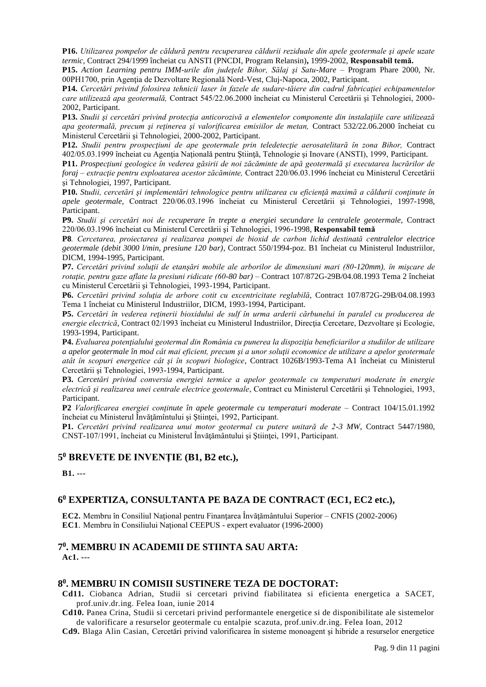**P16.** *Utilizarea pompelor de căldură pentru recuperarea căldurii reziduale din apele geotermale şi apele uzate termic,* Contract 294/1999 încheiat cu ANSTI (PNCDI, Program Relansin)**,** 1999-2002, **Responsabil temă.**

**P15.** *Action Learning pentru IMM-urile din judeţele Bihor, Sălaj şi Satu-Mare* – Program Phare 2000, Nr. 00PH1700, prin Agenţia de Dezvoltare Regională Nord-Vest, Cluj-Napoca, 2002, Participant.

**P14.** *Cercetări privind folosirea tehnicii laser în fazele de sudare-tăiere din cadrul fabricaţiei echipamentelor care utilizează apa geotermală,* Contract 545/22.06.2000 încheiat cu Ministerul Cercetării şi Tehnologiei, 2000- 2002, Participant.

**P13.** *Studii şi cercetări privind protecţia anticorozivă a elementelor componente din instalaţiile care utilizează apa geotermală, precum şi reţinerea şi valorificarea emisiilor de metan,* Contract 532/22.06.2000 încheiat cu Ministerul Cercetării şi Tehnologiei, 2000-2002, Participant.

**P12.** *Studii pentru prospecţiuni de ape geotermale prin teledetecţie aerosatelitară în zona Bihor,* Contract 402/05.03.1999 încheiat cu Agenţia Naţională pentru Ştiinţă, Tehnologie şi Inovare (ANSTI), 1999, Participant.

**P11.** *Prospecţiuni geologice în vederea găsirii de noi zăcăminte de apă geotermală şi executarea lucrărilor de foraj – extracţie pentru exploatarea acestor zăcăminte,* Contract 220/06.03.1996 încheiat cu Ministerul Cercetării şi Tehnologiei, 1997, Participant.

**P10.** *Studii, cercetări şi implementări tehnologice pentru utilizarea cu eficienţă maximă a căldurii conţinute în apele geotermale,* Contract 220/06.03.1996 încheiat cu Ministerul Cercetării şi Tehnologiei, 1997-1998, Participant.

**P9.** *Studii şi cercetări noi de recuperare în trepte a energiei secundare la centralele geotermale,* Contract 220/06.03.1996 încheiat cu Ministerul Cercetării şi Tehnologiei, 1996-1998, **Responsabil temă**

**P8***. Cercetarea, proiectarea şi realizarea pompei de bioxid de carbon lichid destinată centralelor electrice geotermale (debit 3000 l/min, presiune 120 bar)*, Contract 550/1994-poz. B1 încheiat cu Ministerul Industriilor, DICM, 1994-1995, Participant.

**P7.** *Cercetări privind soluţii de etanşări mobile ale arborilor de dimensiuni mari (80-120mm), în mişcare de rotaţie, pentru gaze aflate la presiuni ridicate (60-80 bar)* – Contract 107/872G-29B/04.08.1993 Tema 2 încheiat cu Ministerul Cercetării şi Tehnologiei, 1993-1994, Participant.

**P6.** *Cercetări privind soluţia de arbore cotit cu excentricitate reglabilă*, Contract 107/872G-29B/04.08.1993 Tema 1 încheiat cu Ministerul Industriilor, DICM, 1993-1994, Participant.

**P5.** *Cercetări în vederea reţinerii bioxidului de sulf în urma arderii cărbunelui în paralel cu producerea de energie electrică*, Contract 02/1993 încheiat cu Ministerul Industriilor, Direcţia Cercetare, Dezvoltare şi Ecologie, 1993-1994, Participant.

**P4.** *Evaluarea potenţialului geotermal din România cu punerea la dispoziţia beneficiarilor a studiilor de utilizare a apelor geotermale în mod cât mai eficient, precum şi a unor soluţii economice de utilizare a apelor geotermale atât în scopuri energetice cât şi în scopuri biologice*, Contract 1026B/1993-Tema A1 încheiat cu Ministerul Cercetării şi Tehnologiei, 1993-1994, Participant.

**P3.** *Cercetări privind conversia energiei termice a apelor geotermale cu temperaturi moderate în energie electrică şi realizarea unei centrale electrice geotermale*, Contract cu Ministerul Cercetării şi Tehnologiei, 1993, Participant.

**P2** *Valorificarea energiei conţinute în apele geotermale cu temperaturi moderate* – Contract 104/15.01.1992 încheiat cu Ministerul Învățămîntului și Stiinței, 1992, Participant.

**P1.** *Cercetări privind realizarea unui motor geotermal cu putere unitară de 2-3 MW*, Contract 5447/1980, CNST-107/1991, încheiat cu Ministerul Învăţământului şi Ştiinţei, 1991, Participant.

# **5 <sup>0</sup> BREVETE DE INVENŢIE (B1, B2 etc.),**

**B1. ---**

# **6 <sup>0</sup> EXPERTIZA, CONSULTANTA PE BAZA DE CONTRACT (EC1, EC2 etc.),**

**EC2.** Membru în Consiliul Naţional pentru Finanţarea Învăţământului Superior – CNFIS (2002-2006) **EC1**. Membru în Consiliului Naţional CEEPUS - expert evaluator (1996-2000)

# **7 0 . MEMBRU IN ACADEMII DE STIINTA SAU ARTA:**

**Ac1. ---**

# **8 0 . MEMBRU IN COMISII SUSTINERE TEZA DE DOCTORAT:**

**Cd11.** Ciobanca Adrian, Studii si cercetari privind fiabilitatea si eficienta energetica a SACET, prof.univ.dr.ing. Felea Ioan, iunie 2014

**Cd10.** Panea Crina, Studii si cercetari privind performantele energetice si de disponibilitate ale sistemelor de valorificare a resurselor geotermale cu entalpie scazuta, prof.univ.dr.ing. Felea Ioan, 2012

**Cd9.** Blaga Alin Casian, Cercetări privind valorificarea în sisteme monoagent şi hibride a resurselor energetice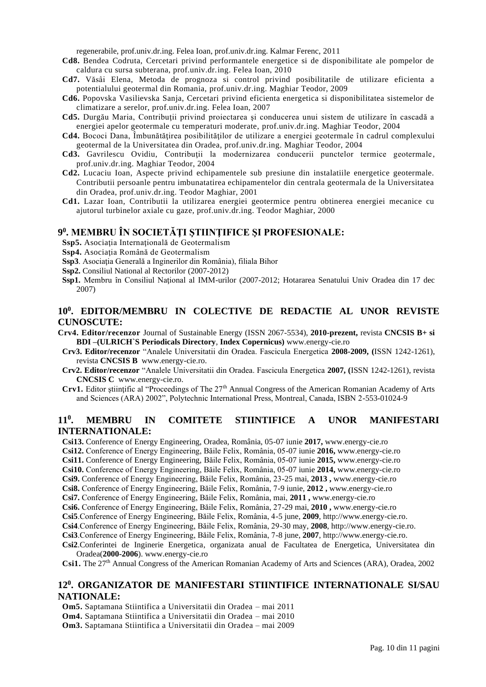regenerabile, prof.univ.dr.ing. Felea Ioan, prof.univ.dr.ing. Kalmar Ferenc, 2011

- **Cd8.** Bendea Codruta, Cercetari privind performantele energetice si de disponibilitate ale pompelor de caldura cu sursa subterana, prof.univ.dr.ing. Felea Ioan, 2010
- **Cd7.** Văsâi Elena, Metoda de prognoza si control privind posibilitatile de utilizare eficienta a potentialului geotermal din Romania, prof.univ.dr.ing. Maghiar Teodor, 2009
- **Cd6.** Popovska Vasilievska Sanja, Cercetari privind eficienta energetica si disponibilitatea sistemelor de climatizare a serelor, prof.univ.dr.ing. Felea Ioan, 2007
- **Cd5.** Durgău Maria, Contribuţii privind proiectarea şi conducerea unui sistem de utilizare în cascadă a energiei apelor geotermale cu temperaturi moderate, prof.univ.dr.ing. Maghiar Teodor, 2004
- **Cd4.** Bococi Dana, Îmbunătăţirea posibilităţilor de utilizare a energiei geotermale în cadrul complexului geotermal de la Universitatea din Oradea, prof.univ.dr.ing. Maghiar Teodor, 2004
- Cd3. Gavrilescu Ovidiu, Contribuții la modernizarea conducerii punctelor termice geotermale, prof.univ.dr.ing. Maghiar Teodor, 2004
- **Cd2.** Lucaciu Ioan, Aspecte privind echipamentele sub presiune din instalatiile energetice geotermale. Contributii persoanle pentru imbunatatirea echipamentelor din centrala geotermala de la Universitatea din Oradea, prof.univ.dr.ing. Teodor Maghiar, 2001
- **Cd1.** Lazar Ioan, Contributii la utilizarea energiei geotermice pentru obtinerea energiei mecanice cu ajutorul turbinelor axiale cu gaze, prof.univ.dr.ing. Teodor Maghiar, 2000

# **9 0 . MEMBRU ÎN SOCIETĂŢI ŞTIINŢIFICE ŞI PROFESIONALE:**

- **Ssp5.** Asociaţia Internaţională de Geotermalism
- **Ssp4.** Asociaţia Română de Geotermalism
- **Ssp3**. Asociaţia Generală a Inginerilor din România), filiala Bihor
- **Ssp2.** Consiliul National al Rectorilor (2007-2012)
- **Ssp1.** Membru în Consiliul Naţional al IMM-urilor (2007-2012; Hotararea Senatului Univ Oradea din 17 dec 2007)

## **10<sup>0</sup> . EDITOR/MEMBRU IN COLECTIVE DE REDACTIE AL UNOR REVISTE CUNOSCUTE:**

- **Crv4. Editor/recenzor** Journal of Sustainable Energy (ISSN 2067-5534), **2010-prezent,** revista **CNCSIS B+ si BDI –(ULRICH`S Periodicals Directory**, **Index Copernicus)** [www.energy-cie.ro](http://www.energy-cie.ro/)
- **Crv3. Editor/recenzor** "Analele Universitatii din Oradea. Fascicula Energetica **2008-2009, (**ISSN 1242-1261), revista **CNCSIS B** [www.energy-cie.ro.](http://www.energy-cie.ro/)
- **Crv2. Editor/recenzor** "Analele Universitatii din Oradea. Fascicula Energetica **2007, (**ISSN 1242-1261), revista **CNCSIS C** [www.energy-cie.ro.](http://www.energy-cie.ro/)
- **Crv1.** Editor stiintific al "Proceedings of The 27<sup>th</sup> Annual Congress of the American Romanian Academy of Arts and Sciences (ARA) 2002", Polytechnic International Press, Montreal, Canada, ISBN 2-553-01024-9

#### **11 0 . MEMBRU IN COMITETE STIINTIFICE A UNOR MANIFESTARI INTERNATIONALE:**

**Csi13.** Conference of Energy Engineering, Oradea, România, 05-07 iunie **2017,** [www.energy-cie.ro](http://www.energy-cie.ro/) **Csi12.** Conference of Energy Engineering, Băile Felix, România, 05-07 iunie **2016,** [www.energy-cie.ro](http://www.energy-cie.ro/) **Csi11.** Conference of Energy Engineering, Băile Felix, România, 05-07 iunie **2015,** [www.energy-cie.ro](http://www.energy-cie.ro/) **Csi10.** Conference of Energy Engineering, Băile Felix, România, 05-07 iunie **2014,** [www.energy-cie.ro](http://www.energy-cie.ro/) **Csi9.** Conference of Energy Engineering, Băile Felix, România, 23-25 mai, **2013 ,** [www.energy-cie.ro](http://www.energy-cie.ro/) **Csi8.** Conference of Energy Engineering, Băile Felix, România, 7-9 iunie, **2012 ,** [www.energy-cie.ro](http://www.energy-cie.ro/) **Csi7.** Conference of Energy Engineering, Băile Felix, România, mai, **2011 ,** [www.energy-cie.ro](http://www.energy-cie.ro/) **Csi6.** Conference of Energy Engineering, Băile Felix, România, 27-29 mai, **2010 ,** [www.energy-cie.ro](http://www.energy-cie.ro/) **Csi5**.Conference of Energy Engineering, Băile Felix, România, 4-5 june, **2009**[, http://www.energy-cie.ro.](http://www.energy-cie.ro/) **Csi4**.Conference of Energy Engineering, Băile Felix, România, 29-30 may, **2008**, [http://www.energy-cie.ro.](http://www.energy-cie.ro/) **Csi3**.Conference of Energy Engineering, Băile Felix, România, 7-8 june, **2007**[, http://www.energy-cie.ro.](http://www.energy-cie.ro/)

**Csi2**.Conferintei de Inginerie Energetica, organizata anual de Facultatea de Energetica, Universitatea din Oradea(**2000-2006**)[. www.energy-cie.ro](http://www.energy-cie.ro/)

Csi1. The 27<sup>th</sup> Annual Congress of the American Romanian Academy of Arts and Sciences (ARA), Oradea, 2002

# **12 0 . ORGANIZATOR DE MANIFESTARI STIINTIFICE INTERNATIONALE SI/SAU NATIONALE:**

**Om5.** Saptamana Stiintifica a Universitatii din Oradea – mai 2011

**Om4.** Saptamana Stiintifica a Universitatii din Oradea – mai 2010

**Om3.** Saptamana Stiintifica a Universitatii din Oradea – mai 2009